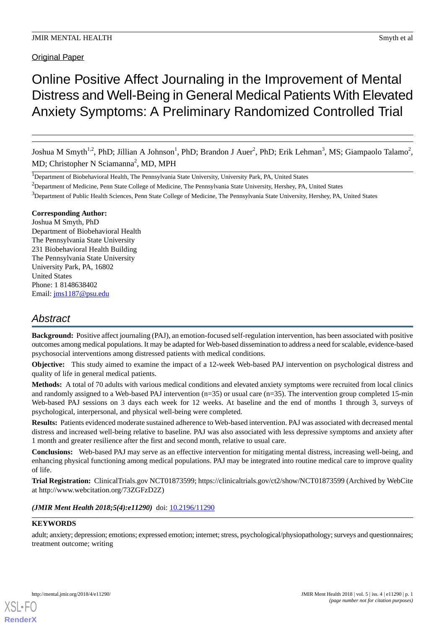# Original Paper

# Online Positive Affect Journaling in the Improvement of Mental Distress and Well-Being in General Medical Patients With Elevated Anxiety Symptoms: A Preliminary Randomized Controlled Trial

Joshua M Smyth<sup>1,2</sup>, PhD; Jillian A Johnson<sup>1</sup>, PhD; Brandon J Auer<sup>2</sup>, PhD; Erik Lehman<sup>3</sup>, MS; Giampaolo Talamo<sup>2</sup>, MD; Christopher N Sciamanna<sup>2</sup>, MD, MPH

<sup>3</sup>Department of Public Health Sciences, Penn State College of Medicine, The Pennsylvania State University, Hershey, PA, United States

### **Corresponding Author:**

Joshua M Smyth, PhD Department of Biobehavioral Health The Pennsylvania State University 231 Biobehavioral Health Building The Pennsylvania State University University Park, PA, 16802 United States Phone: 1 8148638402 Email: [jms1187@psu.edu](mailto:jms1187@psu.edu)

# *Abstract*

**Background:** Positive affect journaling (PAJ), an emotion-focused self-regulation intervention, has been associated with positive outcomes among medical populations. It may be adapted for Web-based dissemination to address a need for scalable, evidence-based psychosocial interventions among distressed patients with medical conditions.

**Objective:** This study aimed to examine the impact of a 12-week Web-based PAJ intervention on psychological distress and quality of life in general medical patients.

**Methods:** A total of 70 adults with various medical conditions and elevated anxiety symptoms were recruited from local clinics and randomly assigned to a Web-based PAJ intervention (n=35) or usual care (n=35). The intervention group completed 15-min Web-based PAJ sessions on 3 days each week for 12 weeks. At baseline and the end of months 1 through 3, surveys of psychological, interpersonal, and physical well-being were completed.

**Results:** Patients evidenced moderate sustained adherence to Web-based intervention. PAJ was associated with decreased mental distress and increased well-being relative to baseline. PAJ was also associated with less depressive symptoms and anxiety after 1 month and greater resilience after the first and second month, relative to usual care.

**Conclusions:** Web-based PAJ may serve as an effective intervention for mitigating mental distress, increasing well-being, and enhancing physical functioning among medical populations. PAJ may be integrated into routine medical care to improve quality of life.

**Trial Registration:** ClinicalTrials.gov NCT01873599; https://clinicaltrials.gov/ct2/show/NCT01873599 (Archived by WebCite at http://www.webcitation.org/73ZGFzD2Z)

# *(JMIR Ment Health 2018;5(4):e11290)* doi:  $10.2196/11290$

# **KEYWORDS**

[XSL](http://www.w3.org/Style/XSL)•FO **[RenderX](http://www.renderx.com/)**

adult; anxiety; depression; emotions; expressed emotion; internet; stress, psychological/physiopathology; surveys and questionnaires; treatment outcome; writing

<sup>&</sup>lt;sup>1</sup>Department of Biobehavioral Health, The Pennsylvania State University, University Park, PA, United States

<sup>&</sup>lt;sup>2</sup>Department of Medicine, Penn State College of Medicine, The Pennsylvania State University, Hershey, PA, United States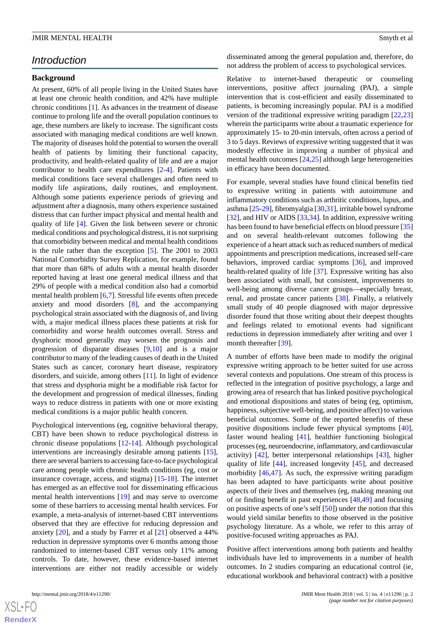# *Introduction*

#### **Background**

At present, 60% of all people living in the United States have at least one chronic health condition, and 42% have multiple chronic conditions [\[1](#page-9-0)]. As advances in the treatment of disease continue to prolong life and the overall population continues to age, these numbers are likely to increase. The significant costs associated with managing medical conditions are well known. The majority of diseases hold the potential to worsen the overall health of patients by limiting their functional capacity, productivity, and health-related quality of life and are a major contributor to health care expenditures [[2-](#page-9-1)[4](#page-9-2)]. Patients with medical conditions face several challenges and often need to modify life aspirations, daily routines, and employment. Although some patients experience periods of grieving and adjustment after a diagnosis, many others experience sustained distress that can further impact physical and mental health and quality of life [\[4](#page-9-2)]. Given the link between severe or chronic medical conditions and psychological distress, it is not surprising that comorbidity between medical and mental health conditions is the rule rather than the exception [[5\]](#page-9-3). The 2001 to 2003 National Comorbidity Survey Replication, for example, found that more than 68% of adults with a mental health disorder reported having at least one general medical illness and that 29% of people with a medical condition also had a comorbid mental health problem [\[6](#page-9-4),[7\]](#page-9-5). Stressful life events often precede anxiety and mood disorders [[8\]](#page-9-6), and the accompanying psychological strain associated with the diagnosis of, and living with, a major medical illness places these patients at risk for comorbidity and worse health outcomes overall. Stress and dysphoric mood generally may worsen the prognosis and progression of disparate diseases [[9](#page-9-7)[,10](#page-9-8)] and is a major contributor to many of the leading causes of death in the United States such as cancer, coronary heart disease, respiratory disorders, and suicide, among others [\[11](#page-9-9)]. In light of evidence that stress and dysphoria might be a modifiable risk factor for the development and progression of medical illnesses, finding ways to reduce distress in patients with one or more existing medical conditions is a major public health concern.

Psychological interventions (eg, cognitive behavioral therapy, CBT) have been shown to reduce psychological distress in chronic disease populations [\[12](#page-9-10)[-14](#page-10-0)]. Although psychological interventions are increasingly desirable among patients [[15\]](#page-10-1), there are several barriers to accessing face-to-face psychological care among people with chronic health conditions (eg, cost or insurance coverage, access, and stigma) [\[15](#page-10-1)-[18\]](#page-10-2). The internet has emerged as an effective tool for disseminating efficacious mental health interventions [\[19](#page-10-3)] and may serve to overcome some of these barriers to accessing mental health services. For example, a meta-analysis of internet-based CBT interventions observed that they are effective for reducing depression and anxiety [\[20](#page-10-4)], and a study by Farrer et al [[21\]](#page-10-5) observed a 44% reduction in depressive symptoms over 6 months among those randomized to internet-based CBT versus only 11% among controls. To date, however, these evidence-based internet interventions are either not readily accessible or widely

disseminated among the general population and, therefore, do not address the problem of access to psychological services.

Relative to internet-based therapeutic or counseling interventions, positive affect journaling (PAJ), a simple intervention that is cost-efficient and easily disseminated to patients, is becoming increasingly popular. PAJ is a modified version of the traditional expressive writing paradigm [[22](#page-10-6)[,23](#page-10-7)] wherein the participants write about a traumatic experience for approximately 15- to 20-min intervals, often across a period of 3 to 5 days. Reviews of expressive writing suggested that it was modestly effective in improving a number of physical and mental health outcomes [\[24](#page-10-8),[25\]](#page-10-9) although large heterogeneities in efficacy have been documented.

For example, several studies have found clinical benefits tied to expressive writing in patients with autoimmune and inflammatory conditions such as arthritic conditions, lupus, and asthma [\[25](#page-10-9)[-29](#page-10-10)], fibromyalgia [\[30](#page-10-11),[31\]](#page-10-12), irritable bowel syndrome [[32\]](#page-10-13), and HIV or AIDS [\[33](#page-10-14),[34\]](#page-10-15). In addition, expressive writing has been found to have beneficial effects on blood pressure [\[35](#page-10-16)] and on several health-relevant outcomes following the experience of a heart attack such as reduced numbers of medical appointments and prescription medications, increased self-care behaviors, improved cardiac symptoms [\[36](#page-10-17)], and improved health-related quality of life [\[37](#page-11-0)]. Expressive writing has also been associated with small, but consistent, improvements to well-being among diverse cancer groups—especially breast, renal, and prostate cancer patients [[38\]](#page-11-1). Finally, a relatively small study of 40 people diagnosed with major depressive disorder found that those writing about their deepest thoughts and feelings related to emotional events had significant reductions in depression immediately after writing and over 1 month thereafter [[39\]](#page-11-2).

A number of efforts have been made to modify the original expressive writing approach to be better suited for use across several contexts and populations. One stream of this process is reflected in the integration of positive psychology, a large and growing area of research that has linked positive psychological and emotional dispositions and states of being (eg, optimism, happiness, subjective well-being, and positive affect) to various beneficial outcomes. Some of the reported benefits of these positive dispositions include fewer physical symptoms [[40\]](#page-11-3), faster wound healing [[41\]](#page-11-4), healthier functioning biological processes (eg, neuroendocrine, inflammatory, and cardiovascular activity) [\[42](#page-11-5)], better interpersonal relationships [\[43](#page-11-6)], higher quality of life [\[44](#page-11-7)], increased longevity [\[45](#page-11-8)], and decreased morbidity [\[46](#page-11-9),[47\]](#page-11-10). As such, the expressive writing paradigm has been adapted to have participants write about positive aspects of their lives and themselves (eg, making meaning out of or finding benefit in past experiences [[48](#page-11-11)[,49](#page-11-12)] and focusing on positive aspects of one's self [[50\]](#page-11-13)) under the notion that this would yield similar benefits to those observed in the positive psychology literature. As a whole, we refer to this array of positive-focused writing approaches as PAJ.

Positive affect interventions among both patients and healthy individuals have led to improvements in a number of health outcomes. In 2 studies comparing an educational control (ie, educational workbook and behavioral contract) with a positive

 $XSI - F($ **[RenderX](http://www.renderx.com/)**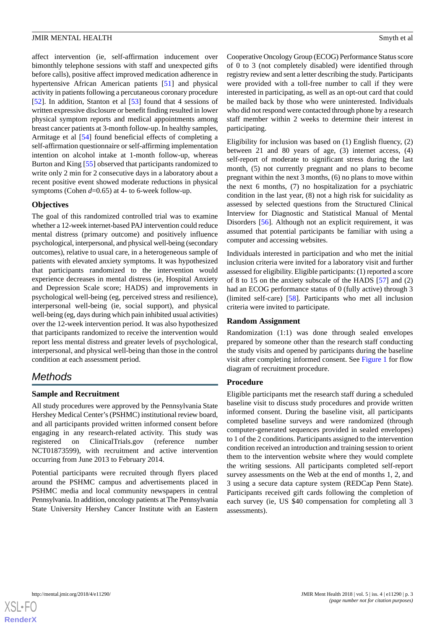affect intervention (ie, self-affirmation inducement over bimonthly telephone sessions with staff and unexpected gifts before calls), positive affect improved medication adherence in hypertensive African American patients [[51\]](#page-11-14) and physical activity in patients following a percutaneous coronary procedure [[52\]](#page-11-15). In addition, Stanton et al [[53\]](#page-11-16) found that 4 sessions of written expressive disclosure or benefit finding resulted in lower physical symptom reports and medical appointments among breast cancer patients at 3-month follow-up. In healthy samples, Armitage et al [\[54](#page-11-17)] found beneficial effects of completing a self-affirmation questionnaire or self-affirming implementation intention on alcohol intake at 1-month follow-up, whereas Burton and King [[55\]](#page-11-18) observed that participants randomized to write only 2 min for 2 consecutive days in a laboratory about a recent positive event showed moderate reductions in physical symptoms (Cohen *d*=0.65) at 4- to 6-week follow-up.

# **Objectives**

The goal of this randomized controlled trial was to examine whether a 12-week internet-based PAJ intervention could reduce mental distress (primary outcome) and positively influence psychological, interpersonal, and physical well-being (secondary outcomes), relative to usual care, in a heterogeneous sample of patients with elevated anxiety symptoms. It was hypothesized that participants randomized to the intervention would experience decreases in mental distress (ie, Hospital Anxiety and Depression Scale score; HADS) and improvements in psychological well-being (eg, perceived stress and resilience), interpersonal well-being (ie, social support), and physical well-being (eg, days during which pain inhibited usual activities) over the 12-week intervention period. It was also hypothesized that participants randomized to receive the intervention would report less mental distress and greater levels of psychological, interpersonal, and physical well-being than those in the control condition at each assessment period.

# *Methods*

# **Sample and Recruitment**

All study procedures were approved by the Pennsylvania State Hershey Medical Center's (PSHMC) institutional review board, and all participants provided written informed consent before engaging in any research-related activity. This study was registered on ClinicalTrials.gov (reference number NCT01873599), with recruitment and active intervention occurring from June 2013 to February 2014.

Potential participants were recruited through flyers placed around the PSHMC campus and advertisements placed in PSHMC media and local community newspapers in central Pennsylvania. In addition, oncology patients at The Pennsylvania State University Hershey Cancer Institute with an Eastern

Cooperative Oncology Group (ECOG) Performance Status score of 0 to 3 (not completely disabled) were identified through registry review and sent a letter describing the study. Participants were provided with a toll-free number to call if they were interested in participating, as well as an opt-out card that could be mailed back by those who were uninterested. Individuals who did not respond were contacted through phone by a research staff member within 2 weeks to determine their interest in participating.

Eligibility for inclusion was based on (1) English fluency, (2) between 21 and 80 years of age, (3) internet access, (4) self-report of moderate to significant stress during the last month, (5) not currently pregnant and no plans to become pregnant within the next 3 months, (6) no plans to move within the next 6 months, (7) no hospitalization for a psychiatric condition in the last year, (8) not a high risk for suicidality as assessed by selected questions from the Structured Clinical Interview for Diagnostic and Statistical Manual of Mental Disorders [[56\]](#page-11-19). Although not an explicit requirement, it was assumed that potential participants be familiar with using a computer and accessing websites.

Individuals interested in participation and who met the initial inclusion criteria were invited for a laboratory visit and further assessed for eligibility. Eligible participants: (1) reported a score of 8 to 15 on the anxiety subscale of the HADS [[57\]](#page-11-20) and (2) had an ECOG performance status of 0 (fully active) through 3 (limited self-care) [\[58](#page-11-21)]. Participants who met all inclusion criteria were invited to participate.

#### **Random Assignment**

Randomization (1:1) was done through sealed envelopes prepared by someone other than the research staff conducting the study visits and opened by participants during the baseline visit after completing informed consent. See [Figure 1](#page-3-0) for flow diagram of recruitment procedure.

#### **Procedure**

Eligible participants met the research staff during a scheduled baseline visit to discuss study procedures and provide written informed consent. During the baseline visit, all participants completed baseline surveys and were randomized (through computer-generated sequences provided in sealed envelopes) to 1 of the 2 conditions. Participants assigned to the intervention condition received an introduction and training session to orient them to the intervention website where they would complete the writing sessions. All participants completed self-report survey assessments on the Web at the end of months 1, 2, and 3 using a secure data capture system (REDCap Penn State). Participants received gift cards following the completion of each survey (ie, US \$40 compensation for completing all 3 assessments).

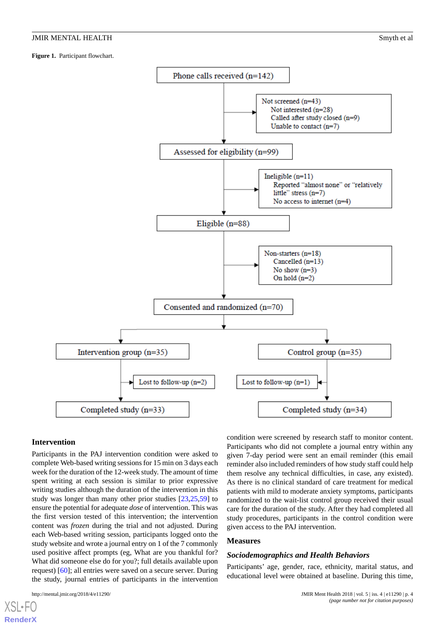<span id="page-3-0"></span>**Figure 1.** Participant flowchart.



#### **Intervention**

Participants in the PAJ intervention condition were asked to complete Web-based writing sessions for 15 min on 3 days each week for the duration of the 12-week study. The amount of time spent writing at each session is similar to prior expressive writing studies although the duration of the intervention in this study was longer than many other prior studies [\[23](#page-10-7),[25,](#page-10-9)[59](#page-11-22)] to ensure the potential for adequate *dose* of intervention. This was the first version tested of this intervention; the intervention content was *frozen* during the trial and not adjusted. During each Web-based writing session, participants logged onto the study website and wrote a journal entry on 1 of the 7 commonly used positive affect prompts (eg, What are you thankful for? What did someone else do for you?; full details available upon request) [\[60](#page-11-23)]; all entries were saved on a secure server. During the study, journal entries of participants in the intervention

condition were screened by research staff to monitor content. Participants who did not complete a journal entry within any given 7-day period were sent an email reminder (this email reminder also included reminders of how study staff could help them resolve any technical difficulties, in case, any existed). As there is no clinical standard of care treatment for medical patients with mild to moderate anxiety symptoms, participants randomized to the wait-list control group received their usual care for the duration of the study. After they had completed all study procedures, participants in the control condition were given access to the PAJ intervention.

#### **Measures**

#### *Sociodemographics and Health Behaviors*

Participants' age, gender, race, ethnicity, marital status, and educational level were obtained at baseline. During this time,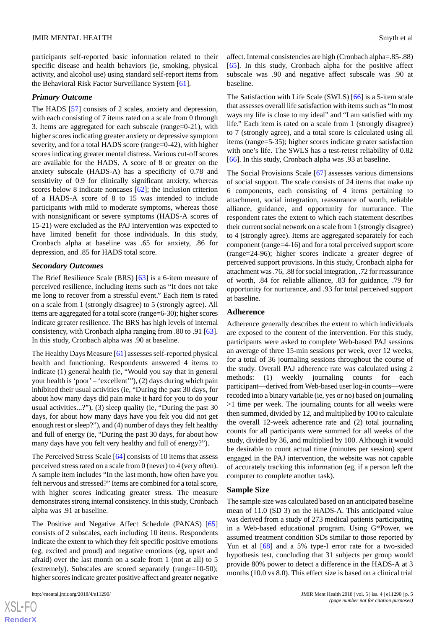participants self-reported basic information related to their specific disease and health behaviors (ie, smoking, physical activity, and alcohol use) using standard self-report items from the Behavioral Risk Factor Surveillance System [[61\]](#page-12-0).

#### *Primary Outcome*

The HADS [\[57](#page-11-20)] consists of 2 scales, anxiety and depression, with each consisting of 7 items rated on a scale from 0 through 3. Items are aggregated for each subscale (range=0-21), with higher scores indicating greater anxiety or depressive symptom severity, and for a total HADS score (range=0-42), with higher scores indicating greater mental distress. Various cut-off scores are available for the HADS. A score of 8 or greater on the anxiety subscale (HADS-A) has a specificity of 0.78 and sensitivity of 0.9 for clinically significant anxiety, whereas scores below 8 indicate noncases [\[62](#page-12-1)]; the inclusion criterion of a HADS-A score of 8 to 15 was intended to include participants with mild to moderate symptoms, whereas those with nonsignificant or severe symptoms (HADS-A scores of 15-21) were excluded as the PAJ intervention was expected to have limited benefit for those individuals. In this study, Cronbach alpha at baseline was .65 for anxiety, .86 for depression, and .85 for HADS total score.

#### *Secondary Outcomes*

The Brief Resilience Scale (BRS) [\[63](#page-12-2)] is a 6-item measure of perceived resilience, including items such as "It does not take me long to recover from a stressful event." Each item is rated on a scale from 1 (strongly disagree) to 5 (strongly agree). All items are aggregated for a total score (range=6-30); higher scores indicate greater resilience. The BRS has high levels of internal consistency, with Cronbach alpha ranging from .80 to .91 [[63\]](#page-12-2). In this study, Cronbach alpha was .90 at baseline.

The Healthy Days Measure [[61\]](#page-12-0) assesses self-reported physical health and functioning. Respondents answered 4 items to indicate (1) general health (ie, "Would you say that in general your health is 'poor'– 'excellent'"), (2) days during which pain inhibited their usual activities (ie, "During the past 30 days, for about how many days did pain make it hard for you to do your usual activities...?"), (3) sleep quality (ie, "During the past 30 days, for about how many days have you felt you did not get enough rest or sleep?"), and (4) number of days they felt healthy and full of energy (ie, "During the past 30 days, for about how many days have you felt very healthy and full of energy?").

The Perceived Stress Scale [\[64](#page-12-3)] consists of 10 items that assess perceived stress rated on a scale from 0 (never) to 4 (very often). A sample item includes "In the last month, how often have you felt nervous and stressed?" Items are combined for a total score, with higher scores indicating greater stress. The measure demonstrates strong internal consistency. In this study, Cronbach alpha was .91 at baseline.

The Positive and Negative Affect Schedule (PANAS) [\[65](#page-12-4)] consists of 2 subscales, each including 10 items. Respondents indicate the extent to which they felt specific positive emotions (eg, excited and proud) and negative emotions (eg, upset and afraid) over the last month on a scale from 1 (not at all) to 5 (extremely). Subscales are scored separately (range=10-50); higher scores indicate greater positive affect and greater negative

affect. Internal consistencies are high (Cronbach alpha=.85-.88) [[65\]](#page-12-4). In this study, Cronbach alpha for the positive affect subscale was .90 and negative affect subscale was .90 at baseline.

The Satisfaction with Life Scale (SWLS) [[66\]](#page-12-5) is a 5-item scale that assesses overall life satisfaction with items such as "In most ways my life is close to my ideal" and "I am satisfied with my life." Each item is rated on a scale from 1 (strongly disagree) to 7 (strongly agree), and a total score is calculated using all items (range=5-35); higher scores indicate greater satisfaction with one's life. The SWLS has a test-retest reliability of 0.82 [[66\]](#page-12-5). In this study, Cronbach alpha was .93 at baseline.

The Social Provisions Scale [\[67](#page-12-6)] assesses various dimensions of social support. The scale consists of 24 items that make up 6 components, each consisting of 4 items pertaining to attachment, social integration, reassurance of worth, reliable alliance, guidance, and opportunity for nurturance. The respondent rates the extent to which each statement describes their current social network on a scale from 1 (strongly disagree) to 4 (strongly agree). Items are aggregated separately for each component (range=4-16) and for a total perceived support score (range=24-96); higher scores indicate a greater degree of perceived support provisions. In this study, Cronbach alpha for attachment was .76, .88 for social integration, .72 for reassurance of worth, .84 for reliable alliance, .83 for guidance, .79 for opportunity for nurturance, and .93 for total perceived support at baseline.

#### **Adherence**

Adherence generally describes the extent to which individuals are exposed to the content of the intervention. For this study, participants were asked to complete Web-based PAJ sessions an average of three 15-min sessions per week, over 12 weeks, for a total of 36 journaling sessions throughout the course of the study. Overall PAJ adherence rate was calculated using 2 methods: (1) weekly journaling counts for each participant—derived from Web-based user log-in counts—were recoded into a binary variable (ie, yes or no) based on journaling >1 time per week. The journaling counts for all weeks were then summed, divided by 12, and multiplied by 100 to calculate the overall 12-week adherence rate and (2) total journaling counts for all participants were summed for all weeks of the study, divided by 36, and multiplied by 100. Although it would be desirable to count actual time (minutes per session) spent engaged in the PAJ intervention, the website was not capable of accurately tracking this information (eg, if a person left the computer to complete another task).

#### **Sample Size**

The sample size was calculated based on an anticipated baseline mean of 11.0 (SD 3) on the HADS-A. This anticipated value was derived from a study of 273 medical patients participating in a Web-based educational program. Using G\*Power, we assumed treatment condition SDs similar to those reported by Yun et al [[68\]](#page-12-7) and a 5% type-I error rate for a two-sided hypothesis test, concluding that 31 subjects per group would provide 80% power to detect a difference in the HADS-A at 3 months (10.0 vs 8.0). This effect size is based on a clinical trial

 $XSI - F($ **[RenderX](http://www.renderx.com/)**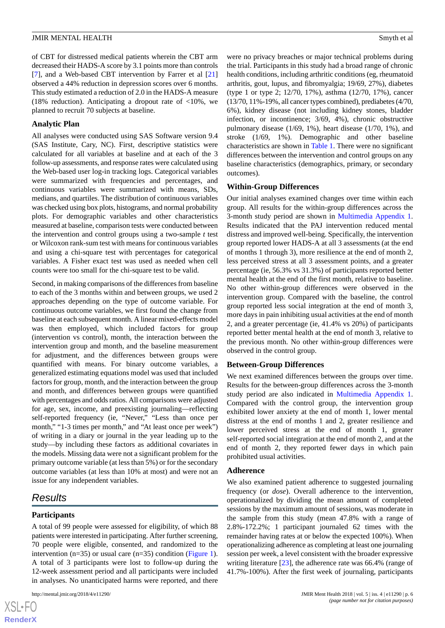of CBT for distressed medical patients wherein the CBT arm decreased their HADS-A score by 3.1 points more than controls [[7\]](#page-9-5), and a Web-based CBT intervention by Farrer et al [\[21](#page-10-5)] observed a 44% reduction in depression scores over 6 months. This study estimated a reduction of 2.0 in the HADS-A measure (18% reduction). Anticipating a dropout rate of  $\langle 10\% \rangle$ , we planned to recruit 70 subjects at baseline.

#### **Analytic Plan**

All analyses were conducted using SAS Software version 9.4 (SAS Institute, Cary, NC). First, descriptive statistics were calculated for all variables at baseline and at each of the 3 follow-up assessments, and response rates were calculated using the Web-based user log-in tracking logs. Categorical variables were summarized with frequencies and percentages, and continuous variables were summarized with means, SDs, medians, and quartiles. The distribution of continuous variables was checked using box plots, histograms, and normal probability plots. For demographic variables and other characteristics measured at baseline, comparison tests were conducted between the intervention and control groups using a two-sample *t* test or Wilcoxon rank-sum test with means for continuous variables and using a chi-square test with percentages for categorical variables. A Fisher exact test was used as needed when cell counts were too small for the chi-square test to be valid.

Second, in making comparisons of the differences from baseline to each of the 3 months within and between groups, we used 2 approaches depending on the type of outcome variable. For continuous outcome variables, we first found the change from baseline at each subsequent month. A linear mixed-effects model was then employed, which included factors for group (intervention vs control), month, the interaction between the intervention group and month, and the baseline measurement for adjustment, and the differences between groups were quantified with means. For binary outcome variables, a generalized estimating equations model was used that included factors for group, month, and the interaction between the group and month, and differences between groups were quantified with percentages and odds ratios. All comparisons were adjusted for age, sex, income, and preexisting journaling—reflecting self-reported frequency (ie, "Never," "Less than once per month," "1-3 times per month," and "At least once per week") of writing in a diary or journal in the year leading up to the study—by including these factors as additional covariates in the models. Missing data were not a significant problem for the primary outcome variable (at less than 5%) or for the secondary outcome variables (at less than 10% at most) and were not an issue for any independent variables.

# *Results*

#### **Participants**

A total of 99 people were assessed for eligibility, of which 88 patients were interested in participating. After further screening, 70 people were eligible, consented, and randomized to the intervention (n=35) or usual care (n=35) condition ([Figure 1\)](#page-3-0). A total of 3 participants were lost to follow-up during the 12-week assessment period and all participants were included in analyses. No unanticipated harms were reported, and there

were no privacy breaches or major technical problems during the trial. Participants in this study had a broad range of chronic health conditions, including arthritic conditions (eg, rheumatoid arthritis, gout, lupus, and fibromyalgia; 19/69, 27%), diabetes (type 1 or type 2; 12/70, 17%), asthma (12/70, 17%), cancer (13/70, 11%-19%, all cancer types combined), prediabetes (4/70, 6%), kidney disease (not including kidney stones, bladder infection, or incontinence; 3/69, 4%), chronic obstructive pulmonary disease (1/69, 1%), heart disease (1/70, 1%), and stroke (1/69, 1%). Demographic and other baseline characteristics are shown in [Table 1.](#page-6-0) There were no significant differences between the intervention and control groups on any baseline characteristics (demographics, primary, or secondary outcomes).

#### **Within-Group Differences**

Our initial analyses examined changes over time within each group. All results for the within-group differences across the 3-month study period are shown in [Multimedia Appendix 1](#page-9-11). Results indicated that the PAJ intervention reduced mental distress and improved well-being. Specifically, the intervention group reported lower HADS-A at all 3 assessments (at the end of months 1 through 3), more resilience at the end of month 2, less perceived stress at all 3 assessment points, and a greater percentage (ie, 56.3% vs 31.3%) of participants reported better mental health at the end of the first month, relative to baseline. No other within-group differences were observed in the intervention group. Compared with the baseline, the control group reported less social integration at the end of month 3, more days in pain inhibiting usual activities at the end of month 2, and a greater percentage (ie, 41.4% vs 20%) of participants reported better mental health at the end of month 3, relative to the previous month. No other within-group differences were observed in the control group.

#### **Between-Group Differences**

We next examined differences between the groups over time. Results for the between-group differences across the 3-month study period are also indicated in [Multimedia Appendix 1](#page-9-11). Compared with the control group, the intervention group exhibited lower anxiety at the end of month 1, lower mental distress at the end of months 1 and 2, greater resilience and lower perceived stress at the end of month 1, greater self-reported social integration at the end of month 2, and at the end of month 2, they reported fewer days in which pain prohibited usual activities.

#### **Adherence**

We also examined patient adherence to suggested journaling frequency (or *dose*). Overall adherence to the intervention, operationalized by dividing the mean amount of completed sessions by the maximum amount of sessions, was moderate in the sample from this study (mean 47.8% with a range of 2.8%-172.2%; 1 participant journaled 62 times with the remainder having rates at or below the expected 100%). When operationalizing adherence as completing at least one journaling session per week, a level consistent with the broader expressive writing literature [[23\]](#page-10-7), the adherence rate was 66.4% (range of 41.7%-100%). After the first week of journaling, participants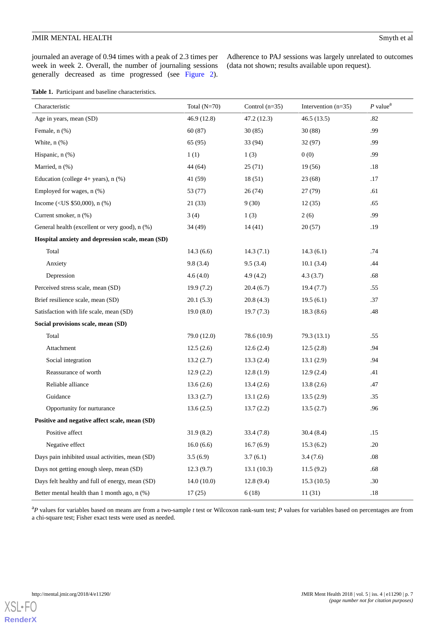journaled an average of 0.94 times with a peak of 2.3 times per week in week 2. Overall, the number of journaling sessions generally decreased as time progressed (see [Figure 2\)](#page-7-0).

Adherence to PAJ sessions was largely unrelated to outcomes (data not shown; results available upon request).

<span id="page-6-0"></span>

|  | Table 1. Participant and baseline characteristics. |  |  |  |  |
|--|----------------------------------------------------|--|--|--|--|
|--|----------------------------------------------------|--|--|--|--|

| Characteristic                                   | Total $(N=70)$ | Control $(n=35)$ | Intervention $(n=35)$ | $P$ value <sup>a</sup> |
|--------------------------------------------------|----------------|------------------|-----------------------|------------------------|
| Age in years, mean (SD)                          | 46.9 (12.8)    | 47.2 (12.3)      | 46.5(13.5)            | .82                    |
| Female, n (%)                                    | 60(87)         | 30(85)           | 30(88)                | .99                    |
| White, $n$ $%$                                   | 65(95)         | 33 (94)          | 32(97)                | .99                    |
| Hispanic, n (%)                                  | 1(1)           | 1(3)             | 0(0)                  | .99                    |
| Married, n (%)                                   | 44 (64)        | 25(71)           | 19(56)                | .18                    |
| Education (college $4+$ years), n $(\%)$         | 41 (59)        | 18(51)           | 23(68)                | .17                    |
| Employed for wages, $n$ $%$ )                    | 53 (77)        | 26(74)           | 27(79)                | .61                    |
| Income (< US $$50,000$ ), n (%)                  | 21(33)         | 9(30)            | 12(35)                | .65                    |
| Current smoker, n (%)                            | 3(4)           | 1(3)             | 2(6)                  | .99                    |
| General health (excellent or very good), n (%)   | 34 (49)        | 14(41)           | 20(57)                | .19                    |
| Hospital anxiety and depression scale, mean (SD) |                |                  |                       |                        |
| Total                                            | 14.3(6.6)      | 14.3(7.1)        | 14.3(6.1)             | .74                    |
| Anxiety                                          | 9.8(3.4)       | 9.5(3.4)         | 10.1(3.4)             | .44                    |
| Depression                                       | 4.6(4.0)       | 4.9(4.2)         | 4.3(3.7)              | .68                    |
| Perceived stress scale, mean (SD)                | 19.9(7.2)      | 20.4(6.7)        | 19.4(7.7)             | .55                    |
| Brief resilience scale, mean (SD)                | 20.1(5.3)      | 20.8(4.3)        | 19.5(6.1)             | .37                    |
| Satisfaction with life scale, mean (SD)          | 19.0(8.0)      | 19.7(7.3)        | 18.3(8.6)             | .48                    |
| Social provisions scale, mean (SD)               |                |                  |                       |                        |
| Total                                            | 79.0 (12.0)    | 78.6 (10.9)      | 79.3(13.1)            | .55                    |
| Attachment                                       | 12.5(2.6)      | 12.6(2.4)        | 12.5(2.8)             | .94                    |
| Social integration                               | 13.2(2.7)      | 13.3(2.4)        | 13.1(2.9)             | .94                    |
| Reassurance of worth                             | 12.9(2.2)      | 12.8(1.9)        | 12.9(2.4)             | .41                    |
| Reliable alliance                                | 13.6(2.6)      | 13.4(2.6)        | 13.8(2.6)             | .47                    |
| Guidance                                         | 13.3(2.7)      | 13.1(2.6)        | 13.5(2.9)             | .35                    |
| Opportunity for nurturance                       | 13.6(2.5)      | 13.7(2.2)        | 13.5(2.7)             | .96                    |
| Positive and negative affect scale, mean (SD)    |                |                  |                       |                        |
| Positive affect                                  | 31.9(8.2)      | 33.4(7.8)        | 30.4(8.4)             | .15                    |
| Negative effect                                  | 16.0(6.6)      | 16.7(6.9)        | 15.3(6.2)             | .20                    |
| Days pain inhibited usual activities, mean (SD)  | 3.5(6.9)       | 3.7(6.1)         | 3.4(7.6)              | .08                    |
| Days not getting enough sleep, mean (SD)         | 12.3(9.7)      | 13.1(10.3)       | 11.5(9.2)             | .68                    |
| Days felt healthy and full of energy, mean (SD)  | 14.0(10.0)     | 12.8(9.4)        | 15.3(10.5)            | .30                    |
| Better mental health than 1 month ago, n (%)     | 17(25)         | 6(18)            | 11(31)                | .18                    |

<sup>a</sup>*P* values for variables based on means are from a two-sample *t* test or Wilcoxon rank-sum test; *P* values for variables based on percentages are from a chi-square test; Fisher exact tests were used as needed.

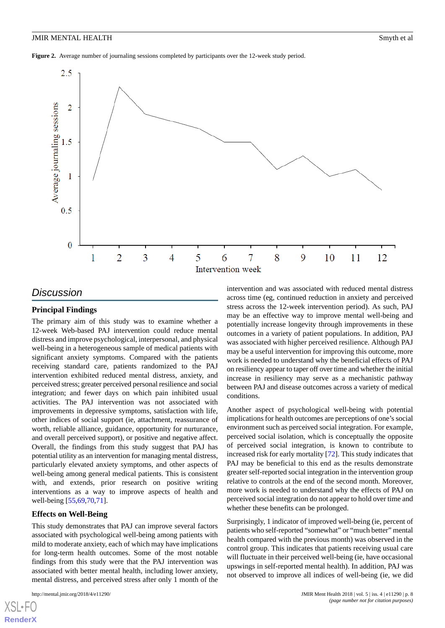<span id="page-7-0"></span>**Figure 2.** Average number of journaling sessions completed by participants over the 12-week study period.



# *Discussion*

#### **Principal Findings**

The primary aim of this study was to examine whether a 12-week Web-based PAJ intervention could reduce mental distress and improve psychological, interpersonal, and physical well-being in a heterogeneous sample of medical patients with significant anxiety symptoms. Compared with the patients receiving standard care, patients randomized to the PAJ intervention exhibited reduced mental distress, anxiety, and perceived stress; greater perceived personal resilience and social integration; and fewer days on which pain inhibited usual activities. The PAJ intervention was not associated with improvements in depressive symptoms, satisfaction with life, other indices of social support (ie, attachment, reassurance of worth, reliable alliance, guidance, opportunity for nurturance, and overall perceived support), or positive and negative affect. Overall, the findings from this study suggest that PAJ has potential utility as an intervention for managing mental distress, particularly elevated anxiety symptoms, and other aspects of well-being among general medical patients. This is consistent with, and extends, prior research on positive writing interventions as a way to improve aspects of health and well-being [\[55](#page-11-18),[69,](#page-12-8)[70](#page-12-9),[71\]](#page-12-10).

#### **Effects on Well-Being**

This study demonstrates that PAJ can improve several factors associated with psychological well-being among patients with mild to moderate anxiety, each of which may have implications for long-term health outcomes. Some of the most notable findings from this study were that the PAJ intervention was associated with better mental health, including lower anxiety, mental distress, and perceived stress after only 1 month of the

[XSL](http://www.w3.org/Style/XSL)•FO **[RenderX](http://www.renderx.com/)**

intervention and was associated with reduced mental distress across time (eg, continued reduction in anxiety and perceived stress across the 12-week intervention period). As such, PAJ may be an effective way to improve mental well-being and potentially increase longevity through improvements in these outcomes in a variety of patient populations. In addition, PAJ was associated with higher perceived resilience. Although PAJ may be a useful intervention for improving this outcome, more work is needed to understand why the beneficial effects of PAJ on resiliency appear to taper off over time and whether the initial increase in resiliency may serve as a mechanistic pathway between PAJ and disease outcomes across a variety of medical conditions.

Another aspect of psychological well-being with potential implications for health outcomes are perceptions of one's social environment such as perceived social integration. For example, perceived social isolation, which is conceptually the opposite of perceived social integration, is known to contribute to increased risk for early mortality [\[72](#page-12-11)]. This study indicates that PAJ may be beneficial to this end as the results demonstrate greater self-reported social integration in the intervention group relative to controls at the end of the second month. Moreover, more work is needed to understand why the effects of PAJ on perceived social integration do not appear to hold over time and whether these benefits can be prolonged.

Surprisingly, 1 indicator of improved well-being (ie, percent of patients who self-reported "somewhat" or "much better" mental health compared with the previous month) was observed in the control group. This indicates that patients receiving usual care will fluctuate in their perceived well-being (ie, have occasional upswings in self-reported mental health). In addition, PAJ was not observed to improve all indices of well-being (ie, we did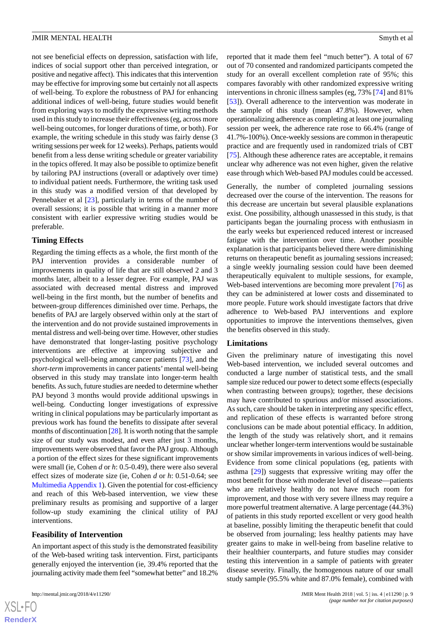not see beneficial effects on depression, satisfaction with life, indices of social support other than perceived integration, or positive and negative affect). This indicates that this intervention may be effective for improving some but certainly not all aspects of well-being. To explore the robustness of PAJ for enhancing additional indices of well-being, future studies would benefit from exploring ways to modify the expressive writing methods used in this study to increase their effectiveness (eg, across more well-being outcomes, for longer durations of time, or both). For example, the writing schedule in this study was fairly dense (3 writing sessions per week for 12 weeks). Perhaps, patients would benefit from a less dense writing schedule or greater variability in the topics offered. It may also be possible to optimize benefit by tailoring PAJ instructions (overall or adaptively over time) to individual patient needs. Furthermore, the writing task used in this study was a modified version of that developed by Pennebaker et al [[23\]](#page-10-7), particularly in terms of the number of overall sessions; it is possible that writing in a manner more consistent with earlier expressive writing studies would be preferable.

#### **Timing Effects**

Regarding the timing effects as a whole, the first month of the PAJ intervention provides a considerable number of improvements in quality of life that are still observed 2 and 3 months later, albeit to a lesser degree. For example, PAJ was associated with decreased mental distress and improved well-being in the first month, but the number of benefits and between-group differences diminished over time. Perhaps, the benefits of PAJ are largely observed within only at the start of the intervention and do not provide sustained improvements in mental distress and well-being over time. However, other studies have demonstrated that longer-lasting positive psychology interventions are effective at improving subjective and psychological well-being among cancer patients [\[73](#page-12-12)], and the *short-term* improvements in cancer patients' mental well-being observed in this study may translate into longer-term health benefits. As such, future studies are needed to determine whether PAJ beyond 3 months would provide additional upswings in well-being. Conducting longer investigations of expressive writing in clinical populations may be particularly important as previous work has found the benefits to dissipate after several months of discontinuation [[28](#page-10-18)]. It is worth noting that the sample size of our study was modest, and even after just 3 months, improvements were observed that favor the PAJ group. Although a portion of the effect sizes for these significant improvements were small (ie, Cohen *d* or *h*: 0.5-0.49), there were also several effect sizes of moderate size (ie, Cohen *d* or *h*: 0.51-0.64; see [Multimedia Appendix 1](#page-9-11)). Given the potential for cost-efficiency and reach of this Web-based intervention, we view these preliminary results as promising and supportive of a larger follow-up study examining the clinical utility of PAJ interventions.

#### **Feasibility of Intervention**

An important aspect of this study is the demonstrated feasibility of the Web-based writing task intervention. First, participants generally enjoyed the intervention (ie, 39.4% reported that the journaling activity made them feel "somewhat better" and 18.2%

reported that it made them feel "much better"). A total of 67 out of 70 consented and randomized participants competed the study for an overall excellent completion rate of 95%; this compares favorably with other randomized expressive writing interventions in chronic illness samples (eg, 73% [\[74](#page-12-13)] and 81% [[53\]](#page-11-16)). Overall adherence to the intervention was moderate in the sample of this study (mean 47.8%). However, when operationalizing adherence as completing at least one journaling session per week, the adherence rate rose to 66.4% (range of 41.7%-100%). Once-weekly sessions are common in therapeutic practice and are frequently used in randomized trials of CBT [[75\]](#page-12-14). Although these adherence rates are acceptable, it remains unclear why adherence was not even higher, given the relative ease through which Web-based PAJ modules could be accessed.

Generally, the number of completed journaling sessions decreased over the course of the intervention. The reasons for this decrease are uncertain but several plausible explanations exist. One possibility, although unassessed in this study, is that participants began the journaling process with enthusiasm in the early weeks but experienced reduced interest or increased fatigue with the intervention over time. Another possible explanation is that participants believed there were diminishing returns on therapeutic benefit as journaling sessions increased; a single weekly journaling session could have been deemed therapeutically equivalent to multiple sessions, for example, Web-based interventions are becoming more prevalent [\[76](#page-12-15)] as they can be administered at lower costs and disseminated to more people. Future work should investigate factors that drive adherence to Web-based PAJ interventions and explore opportunities to improve the interventions themselves, given the benefits observed in this study.

#### **Limitations**

Given the preliminary nature of investigating this novel Web-based intervention, we included several outcomes and conducted a large number of statistical tests, and the small sample size reduced our power to detect some effects (especially when contrasting between groups); together, these decisions may have contributed to spurious and/or missed associations. As such, care should be taken in interpreting any specific effect, and replication of these effects is warranted before strong conclusions can be made about potential efficacy. In addition, the length of the study was relatively short, and it remains unclear whether longer-term interventions would be sustainable or show similar improvements in various indices of well-being. Evidence from some clinical populations (eg, patients with asthma [\[29](#page-10-10)]) suggests that expressive writing may offer the most benefit for those with moderate level of disease—patients who are relatively healthy do not have much room for improvement, and those with very severe illness may require a more powerful treatment alternative. A large percentage (44.3%) of patients in this study reported excellent or very good health at baseline, possibly limiting the therapeutic benefit that could be observed from journaling; less healthy patients may have greater gains to make in well-being from baseline relative to their healthier counterparts, and future studies may consider testing this intervention in a sample of patients with greater disease severity. Finally, the homogenous nature of our small study sample (95.5% white and 87.0% female), combined with

```
XS-FO
RenderX
```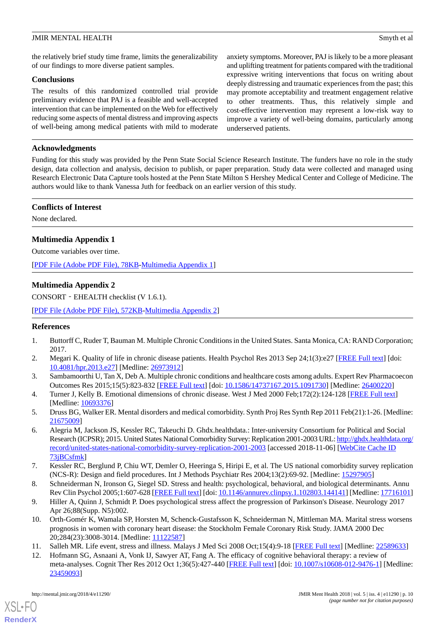the relatively brief study time frame, limits the generalizability of our findings to more diverse patient samples.

#### **Conclusions**

The results of this randomized controlled trial provide preliminary evidence that PAJ is a feasible and well-accepted intervention that can be implemented on the Web for effectively reducing some aspects of mental distress and improving aspects of well-being among medical patients with mild to moderate anxiety symptoms. Moreover, PAJ is likely to be a more pleasant and uplifting treatment for patients compared with the traditional expressive writing interventions that focus on writing about deeply distressing and traumatic experiences from the past; this may promote acceptability and treatment engagement relative to other treatments. Thus, this relatively simple and cost-effective intervention may represent a low-risk way to improve a variety of well-being domains, particularly among underserved patients.

### **Acknowledgments**

Funding for this study was provided by the Penn State Social Science Research Institute. The funders have no role in the study design, data collection and analysis, decision to publish, or paper preparation. Study data were collected and managed using Research Electronic Data Capture tools hosted at the Penn State Milton S Hershey Medical Center and College of Medicine. The authors would like to thank Vanessa Juth for feedback on an earlier version of this study.

#### **Conflicts of Interest**

<span id="page-9-11"></span>None declared.

# **Multimedia Appendix 1**

Outcome variables over time.

[[PDF File \(Adobe PDF File\), 78KB-Multimedia Appendix 1](https://jmir.org/api/download?alt_name=mental_v5i4e11290_app1.pdf)]

### **Multimedia Appendix 2**

CONSORT‐EHEALTH checklist (V 1.6.1).

<span id="page-9-0"></span>[[PDF File \(Adobe PDF File\), 572KB-Multimedia Appendix 2](https://jmir.org/api/download?alt_name=mental_v5i4e11290_app2.pdf&filename=576fbbb5b35092a192f4764a81e0471a.pdf)]

#### <span id="page-9-1"></span>**References**

- 1. Buttorff C, Ruder T, Bauman M. Multiple Chronic Conditions in the United States. Santa Monica, CA: RAND Corporation; 2017.
- <span id="page-9-2"></span>2. Megari K. Quality of life in chronic disease patients. Health Psychol Res 2013 Sep 24;1(3):e27 [[FREE Full text](https://dx.doi.org/10.4081/hpr.2013.e27)] [doi: [10.4081/hpr.2013.e27](http://dx.doi.org/10.4081/hpr.2013.e27)] [Medline: [26973912\]](http://www.ncbi.nlm.nih.gov/entrez/query.fcgi?cmd=Retrieve&db=PubMed&list_uids=26973912&dopt=Abstract)
- <span id="page-9-3"></span>3. Sambamoorthi U, Tan X, Deb A. Multiple chronic conditions and healthcare costs among adults. Expert Rev Pharmacoecon Outcomes Res 2015;15(5):823-832 [\[FREE Full text\]](http://europepmc.org/abstract/MED/26400220) [doi: [10.1586/14737167.2015.1091730](http://dx.doi.org/10.1586/14737167.2015.1091730)] [Medline: [26400220](http://www.ncbi.nlm.nih.gov/entrez/query.fcgi?cmd=Retrieve&db=PubMed&list_uids=26400220&dopt=Abstract)]
- <span id="page-9-4"></span>4. Turner J, Kelly B. Emotional dimensions of chronic disease. West J Med 2000 Feb;172(2):124-128 [[FREE Full text](http://europepmc.org/abstract/MED/10693376)] [Medline: [10693376](http://www.ncbi.nlm.nih.gov/entrez/query.fcgi?cmd=Retrieve&db=PubMed&list_uids=10693376&dopt=Abstract)]
- <span id="page-9-5"></span>5. Druss BG, Walker ER. Mental disorders and medical comorbidity. Synth Proj Res Synth Rep 2011 Feb(21):1-26. [Medline: [21675009](http://www.ncbi.nlm.nih.gov/entrez/query.fcgi?cmd=Retrieve&db=PubMed&list_uids=21675009&dopt=Abstract)]
- <span id="page-9-6"></span>6. Alegria M, Jackson JS, Kessler RC, Takeuchi D. Ghdx.healthdata.: Inter-university Consortium for Political and Social Research (ICPSR); 2015. United States National Comorbidity Survey: Replication 2001-2003 URL: [http://ghdx.healthdata.org/](http://ghdx.healthdata.org/record/united-states-national-comorbidity-survey-replication-2001-2003) [record/united-states-national-comorbidity-survey-replication-2001-2003](http://ghdx.healthdata.org/record/united-states-national-comorbidity-survey-replication-2001-2003) [accessed 2018-11-06] [[WebCite Cache ID](http://www.webcitation.org/

                                            73jBCsfmk) [73jBCsfmk\]](http://www.webcitation.org/

                                            73jBCsfmk)
- <span id="page-9-8"></span><span id="page-9-7"></span>7. Kessler RC, Berglund P, Chiu WT, Demler O, Heeringa S, Hiripi E, et al. The US national comorbidity survey replication (NCS-R): Design and field procedures. Int J Methods Psychiatr Res 2004;13(2):69-92. [Medline: [15297905](http://www.ncbi.nlm.nih.gov/entrez/query.fcgi?cmd=Retrieve&db=PubMed&list_uids=15297905&dopt=Abstract)]
- <span id="page-9-9"></span>8. Schneiderman N, Ironson G, Siegel SD. Stress and health: psychological, behavioral, and biological determinants. Annu Rev Clin Psychol 2005;1:607-628 [[FREE Full text](http://europepmc.org/abstract/MED/17716101)] [doi: [10.1146/annurev.clinpsy.1.102803.144141](http://dx.doi.org/10.1146/annurev.clinpsy.1.102803.144141)] [Medline: [17716101](http://www.ncbi.nlm.nih.gov/entrez/query.fcgi?cmd=Retrieve&db=PubMed&list_uids=17716101&dopt=Abstract)]
- <span id="page-9-10"></span>9. Hiller A, Quinn J, Schmidt P. Does psychological stress affect the progression of Parkinson's Disease. Neurology 2017 Apr 26;88(Supp. N5):002.
- 10. Orth-Gomér K, Wamala SP, Horsten M, Schenck-Gustafsson K, Schneiderman N, Mittleman MA. Marital stress worsens prognosis in women with coronary heart disease: the Stockholm Female Coronary Risk Study. JAMA 2000 Dec 20;284(23):3008-3014. [Medline: [11122587](http://www.ncbi.nlm.nih.gov/entrez/query.fcgi?cmd=Retrieve&db=PubMed&list_uids=11122587&dopt=Abstract)]
- 11. Salleh MR. Life event, stress and illness. Malays J Med Sci 2008 Oct;15(4):9-18 [[FREE Full text](http://europepmc.org/abstract/MED/22589633)] [Medline: [22589633](http://www.ncbi.nlm.nih.gov/entrez/query.fcgi?cmd=Retrieve&db=PubMed&list_uids=22589633&dopt=Abstract)]
- 12. Hofmann SG, Asnaani A, Vonk IJ, Sawyer AT, Fang A. The efficacy of cognitive behavioral therapy: a review of meta-analyses. Cognit Ther Res 2012 Oct 1;36(5):427-440 [\[FREE Full text\]](http://europepmc.org/abstract/MED/23459093) [doi: [10.1007/s10608-012-9476-1\]](http://dx.doi.org/10.1007/s10608-012-9476-1) [Medline: [23459093](http://www.ncbi.nlm.nih.gov/entrez/query.fcgi?cmd=Retrieve&db=PubMed&list_uids=23459093&dopt=Abstract)]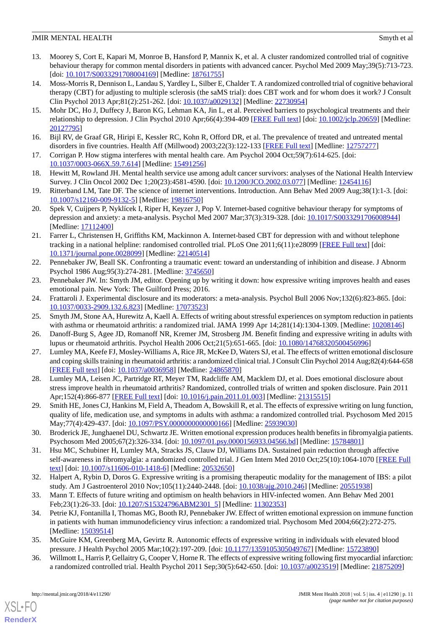- 13. Moorey S, Cort E, Kapari M, Monroe B, Hansford P, Mannix K, et al. A cluster randomized controlled trial of cognitive behaviour therapy for common mental disorders in patients with advanced cancer. Psychol Med 2009 May;39(5):713-723. [doi: [10.1017/S0033291708004169\]](http://dx.doi.org/10.1017/S0033291708004169) [Medline: [18761755](http://www.ncbi.nlm.nih.gov/entrez/query.fcgi?cmd=Retrieve&db=PubMed&list_uids=18761755&dopt=Abstract)]
- <span id="page-10-0"></span>14. Moss-Morris R, Dennison L, Landau S, Yardley L, Silber E, Chalder T. A randomized controlled trial of cognitive behavioral therapy (CBT) for adjusting to multiple sclerosis (the saMS trial): does CBT work and for whom does it work? J Consult Clin Psychol 2013 Apr;81(2):251-262. [doi: [10.1037/a0029132](http://dx.doi.org/10.1037/a0029132)] [Medline: [22730954\]](http://www.ncbi.nlm.nih.gov/entrez/query.fcgi?cmd=Retrieve&db=PubMed&list_uids=22730954&dopt=Abstract)
- <span id="page-10-1"></span>15. Mohr DC, Ho J, Duffecy J, Baron KG, Lehman KA, Jin L, et al. Perceived barriers to psychological treatments and their relationship to depression. J Clin Psychol 2010 Apr;66(4):394-409 [\[FREE Full text](http://europepmc.org/abstract/MED/20127795)] [doi: [10.1002/jclp.20659](http://dx.doi.org/10.1002/jclp.20659)] [Medline: [20127795](http://www.ncbi.nlm.nih.gov/entrez/query.fcgi?cmd=Retrieve&db=PubMed&list_uids=20127795&dopt=Abstract)]
- 16. Bijl RV, de Graaf GR, Hiripi E, Kessler RC, Kohn R, Offord DR, et al. The prevalence of treated and untreated mental disorders in five countries. Health Aff (Millwood) 2003;22(3):122-133 [\[FREE Full text\]](http://content.healthaffairs.org/cgi/pmidlookup?view=long&pmid=12757277) [Medline: [12757277](http://www.ncbi.nlm.nih.gov/entrez/query.fcgi?cmd=Retrieve&db=PubMed&list_uids=12757277&dopt=Abstract)]
- <span id="page-10-2"></span>17. Corrigan P. How stigma interferes with mental health care. Am Psychol 2004 Oct;59(7):614-625. [doi: [10.1037/0003-066X.59.7.614\]](http://dx.doi.org/10.1037/0003-066X.59.7.614) [Medline: [15491256\]](http://www.ncbi.nlm.nih.gov/entrez/query.fcgi?cmd=Retrieve&db=PubMed&list_uids=15491256&dopt=Abstract)
- <span id="page-10-3"></span>18. Hewitt M, Rowland JH. Mental health service use among adult cancer survivors: analyses of the National Health Interview Survey. J Clin Oncol 2002 Dec 1;20(23):4581-4590. [doi: [10.1200/JCO.2002.03.077\]](http://dx.doi.org/10.1200/JCO.2002.03.077) [Medline: [12454116](http://www.ncbi.nlm.nih.gov/entrez/query.fcgi?cmd=Retrieve&db=PubMed&list_uids=12454116&dopt=Abstract)]
- <span id="page-10-4"></span>19. Ritterband LM, Tate DF. The science of internet interventions. Introduction. Ann Behav Med 2009 Aug;38(1):1-3. [doi: [10.1007/s12160-009-9132-5\]](http://dx.doi.org/10.1007/s12160-009-9132-5) [Medline: [19816750](http://www.ncbi.nlm.nih.gov/entrez/query.fcgi?cmd=Retrieve&db=PubMed&list_uids=19816750&dopt=Abstract)]
- <span id="page-10-5"></span>20. Spek V, Cuijpers P, Nyklícek I, Riper H, Keyzer J, Pop V. Internet-based cognitive behaviour therapy for symptoms of depression and anxiety: a meta-analysis. Psychol Med 2007 Mar;37(3):319-328. [doi: [10.1017/S0033291706008944](http://dx.doi.org/10.1017/S0033291706008944)] [Medline: [17112400](http://www.ncbi.nlm.nih.gov/entrez/query.fcgi?cmd=Retrieve&db=PubMed&list_uids=17112400&dopt=Abstract)]
- <span id="page-10-6"></span>21. Farrer L, Christensen H, Griffiths KM, Mackinnon A. Internet-based CBT for depression with and without telephone tracking in a national helpline: randomised controlled trial. PLoS One 2011;6(11):e28099 [[FREE Full text](http://dx.plos.org/10.1371/journal.pone.0028099)] [doi: [10.1371/journal.pone.0028099\]](http://dx.doi.org/10.1371/journal.pone.0028099) [Medline: [22140514](http://www.ncbi.nlm.nih.gov/entrez/query.fcgi?cmd=Retrieve&db=PubMed&list_uids=22140514&dopt=Abstract)]
- <span id="page-10-8"></span><span id="page-10-7"></span>22. Pennebaker JW, Beall SK. Confronting a traumatic event: toward an understanding of inhibition and disease. J Abnorm Psychol 1986 Aug;95(3):274-281. [Medline: [3745650\]](http://www.ncbi.nlm.nih.gov/entrez/query.fcgi?cmd=Retrieve&db=PubMed&list_uids=3745650&dopt=Abstract)
- <span id="page-10-9"></span>23. Pennebaker JW. In: Smyth JM, editor. Opening up by writing it down: how expressive writing improves health and eases emotional pain. New York: The Guilford Press; 2016.
- 24. Frattaroli J. Experimental disclosure and its moderators: a meta-analysis. Psychol Bull 2006 Nov;132(6):823-865. [doi: [10.1037/0033-2909.132.6.823\]](http://dx.doi.org/10.1037/0033-2909.132.6.823) [Medline: [17073523](http://www.ncbi.nlm.nih.gov/entrez/query.fcgi?cmd=Retrieve&db=PubMed&list_uids=17073523&dopt=Abstract)]
- 25. Smyth JM, Stone AA, Hurewitz A, Kaell A. Effects of writing about stressful experiences on symptom reduction in patients with asthma or rheumatoid arthritis: a randomized trial. JAMA 1999 Apr 14;281(14):1304-1309. [Medline: [10208146\]](http://www.ncbi.nlm.nih.gov/entrez/query.fcgi?cmd=Retrieve&db=PubMed&list_uids=10208146&dopt=Abstract)
- <span id="page-10-18"></span>26. Danoff-Burg S, Agee JD, Romanoff NR, Kremer JM, Strosberg JM. Benefit finding and expressive writing in adults with lupus or rheumatoid arthritis. Psychol Health 2006 Oct;21(5):651-665. [doi: [10.1080/14768320500456996](http://dx.doi.org/10.1080/14768320500456996)]
- <span id="page-10-10"></span>27. Lumley MA, Keefe FJ, Mosley-Williams A, Rice JR, McKee D, Waters SJ, et al. The effects of written emotional disclosure and coping skills training in rheumatoid arthritis: a randomized clinical trial. J Consult Clin Psychol 2014 Aug;82(4):644-658 [[FREE Full text](http://europepmc.org/abstract/MED/24865870)] [doi: [10.1037/a0036958](http://dx.doi.org/10.1037/a0036958)] [Medline: [24865870\]](http://www.ncbi.nlm.nih.gov/entrez/query.fcgi?cmd=Retrieve&db=PubMed&list_uids=24865870&dopt=Abstract)
- <span id="page-10-11"></span>28. Lumley MA, Leisen JC, Partridge RT, Meyer TM, Radcliffe AM, Macklem DJ, et al. Does emotional disclosure about stress improve health in rheumatoid arthritis? Randomized, controlled trials of written and spoken disclosure. Pain 2011 Apr;152(4):866-877 [\[FREE Full text\]](http://europepmc.org/abstract/MED/21315515) [doi: [10.1016/j.pain.2011.01.003](http://dx.doi.org/10.1016/j.pain.2011.01.003)] [Medline: [21315515](http://www.ncbi.nlm.nih.gov/entrez/query.fcgi?cmd=Retrieve&db=PubMed&list_uids=21315515&dopt=Abstract)]
- <span id="page-10-12"></span>29. Smith HE, Jones CJ, Hankins M, Field A, Theadom A, Bowskill R, et al. The effects of expressive writing on lung function, quality of life, medication use, and symptoms in adults with asthma: a randomized controlled trial. Psychosom Med 2015 May;77(4):429-437. [doi: [10.1097/PSY.0000000000000166\]](http://dx.doi.org/10.1097/PSY.0000000000000166) [Medline: [25939030](http://www.ncbi.nlm.nih.gov/entrez/query.fcgi?cmd=Retrieve&db=PubMed&list_uids=25939030&dopt=Abstract)]
- <span id="page-10-13"></span>30. Broderick JE, Junghaenel DU, Schwartz JE. Written emotional expression produces health benefits in fibromyalgia patients. Psychosom Med 2005;67(2):326-334. [doi: [10.1097/01.psy.0000156933.04566.bd\]](http://dx.doi.org/10.1097/01.psy.0000156933.04566.bd) [Medline: [15784801\]](http://www.ncbi.nlm.nih.gov/entrez/query.fcgi?cmd=Retrieve&db=PubMed&list_uids=15784801&dopt=Abstract)
- <span id="page-10-15"></span><span id="page-10-14"></span>31. Hsu MC, Schubiner H, Lumley MA, Stracks JS, Clauw DJ, Williams DA. Sustained pain reduction through affective self-awareness in fibromyalgia: a randomized controlled trial. J Gen Intern Med 2010 Oct;25(10):1064-1070 [\[FREE Full](http://europepmc.org/abstract/MED/20532650) [text](http://europepmc.org/abstract/MED/20532650)] [doi: [10.1007/s11606-010-1418-6\]](http://dx.doi.org/10.1007/s11606-010-1418-6) [Medline: [20532650](http://www.ncbi.nlm.nih.gov/entrez/query.fcgi?cmd=Retrieve&db=PubMed&list_uids=20532650&dopt=Abstract)]
- 32. Halpert A, Rybin D, Doros G. Expressive writing is a promising therapeutic modality for the management of IBS: a pilot study. Am J Gastroenterol 2010 Nov;105(11):2440-2448. [doi: [10.1038/ajg.2010.246](http://dx.doi.org/10.1038/ajg.2010.246)] [Medline: [20551938](http://www.ncbi.nlm.nih.gov/entrez/query.fcgi?cmd=Retrieve&db=PubMed&list_uids=20551938&dopt=Abstract)]
- <span id="page-10-17"></span><span id="page-10-16"></span>33. Mann T. Effects of future writing and optimism on health behaviors in HIV-infected women. Ann Behav Med 2001 Feb; 23(1): 26-33. [doi: [10.1207/S15324796ABM2301\\_5](http://dx.doi.org/10.1207/S15324796ABM2301_5)] [Medline: [11302353\]](http://www.ncbi.nlm.nih.gov/entrez/query.fcgi?cmd=Retrieve&db=PubMed&list_uids=11302353&dopt=Abstract)
- 34. Petrie KJ, Fontanilla I, Thomas MG, Booth RJ, Pennebaker JW. Effect of written emotional expression on immune function in patients with human immunodeficiency virus infection: a randomized trial. Psychosom Med 2004;66(2):272-275. [Medline: [15039514](http://www.ncbi.nlm.nih.gov/entrez/query.fcgi?cmd=Retrieve&db=PubMed&list_uids=15039514&dopt=Abstract)]
- 35. McGuire KM, Greenberg MA, Gevirtz R. Autonomic effects of expressive writing in individuals with elevated blood pressure. J Health Psychol 2005 Mar;10(2):197-209. [doi: [10.1177/1359105305049767\]](http://dx.doi.org/10.1177/1359105305049767) [Medline: [15723890\]](http://www.ncbi.nlm.nih.gov/entrez/query.fcgi?cmd=Retrieve&db=PubMed&list_uids=15723890&dopt=Abstract)
- 36. Willmott L, Harris P, Gellaitry G, Cooper V, Horne R. The effects of expressive writing following first myocardial infarction: a randomized controlled trial. Health Psychol 2011 Sep;30(5):642-650. [doi: [10.1037/a0023519\]](http://dx.doi.org/10.1037/a0023519) [Medline: [21875209\]](http://www.ncbi.nlm.nih.gov/entrez/query.fcgi?cmd=Retrieve&db=PubMed&list_uids=21875209&dopt=Abstract)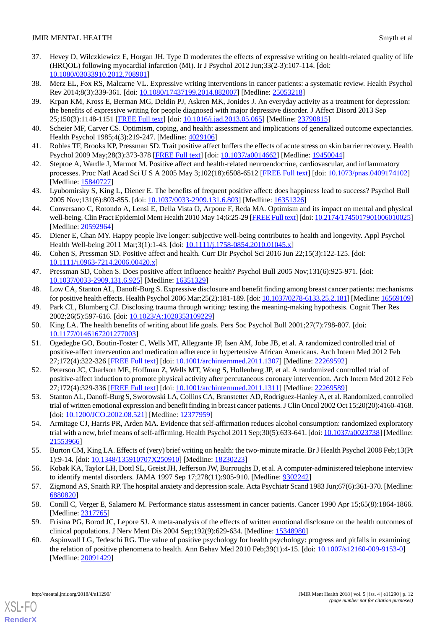- <span id="page-11-0"></span>37. Hevey D, Wilczkiewicz E, Horgan JH. Type D moderates the effects of expressive writing on health-related quality of life (HRQOL) following myocardial infarction (MI). Ir J Psychol 2012 Jun;33(2-3):107-114. [doi: [10.1080/03033910.2012.708901\]](http://dx.doi.org/10.1080/03033910.2012.708901)
- <span id="page-11-2"></span><span id="page-11-1"></span>38. Merz EL, Fox RS, Malcarne VL. Expressive writing interventions in cancer patients: a systematic review. Health Psychol Rev 2014;8(3):339-361. [doi: [10.1080/17437199.2014.882007](http://dx.doi.org/10.1080/17437199.2014.882007)] [Medline: [25053218\]](http://www.ncbi.nlm.nih.gov/entrez/query.fcgi?cmd=Retrieve&db=PubMed&list_uids=25053218&dopt=Abstract)
- 39. Krpan KM, Kross E, Berman MG, Deldin PJ, Askren MK, Jonides J. An everyday activity as a treatment for depression: the benefits of expressive writing for people diagnosed with major depressive disorder. J Affect Disord 2013 Sep 25;150(3):1148-1151 [[FREE Full text](http://europepmc.org/abstract/MED/23790815)] [doi: [10.1016/j.jad.2013.05.065\]](http://dx.doi.org/10.1016/j.jad.2013.05.065) [Medline: [23790815\]](http://www.ncbi.nlm.nih.gov/entrez/query.fcgi?cmd=Retrieve&db=PubMed&list_uids=23790815&dopt=Abstract)
- <span id="page-11-4"></span><span id="page-11-3"></span>40. Scheier MF, Carver CS. Optimism, coping, and health: assessment and implications of generalized outcome expectancies. Health Psychol 1985;4(3):219-247. [Medline: [4029106](http://www.ncbi.nlm.nih.gov/entrez/query.fcgi?cmd=Retrieve&db=PubMed&list_uids=4029106&dopt=Abstract)]
- <span id="page-11-5"></span>41. Robles TF, Brooks KP, Pressman SD. Trait positive affect buffers the effects of acute stress on skin barrier recovery. Health Psychol 2009 May;28(3):373-378 [[FREE Full text](http://europepmc.org/abstract/MED/19450044)] [doi: [10.1037/a0014662](http://dx.doi.org/10.1037/a0014662)] [Medline: [19450044](http://www.ncbi.nlm.nih.gov/entrez/query.fcgi?cmd=Retrieve&db=PubMed&list_uids=19450044&dopt=Abstract)]
- <span id="page-11-6"></span>42. Steptoe A, Wardle J, Marmot M. Positive affect and health-related neuroendocrine, cardiovascular, and inflammatory processes. Proc Natl Acad Sci U S A 2005 May 3;102(18):6508-6512 [[FREE Full text\]](http://www.pnas.org/cgi/pmidlookup?view=long&pmid=15840727) [doi: [10.1073/pnas.0409174102](http://dx.doi.org/10.1073/pnas.0409174102)] [Medline: [15840727](http://www.ncbi.nlm.nih.gov/entrez/query.fcgi?cmd=Retrieve&db=PubMed&list_uids=15840727&dopt=Abstract)]
- <span id="page-11-7"></span>43. Lyubomirsky S, King L, Diener E. The benefits of frequent positive affect: does happiness lead to success? Psychol Bull 2005 Nov;131(6):803-855. [doi: [10.1037/0033-2909.131.6.803](http://dx.doi.org/10.1037/0033-2909.131.6.803)] [Medline: [16351326\]](http://www.ncbi.nlm.nih.gov/entrez/query.fcgi?cmd=Retrieve&db=PubMed&list_uids=16351326&dopt=Abstract)
- <span id="page-11-8"></span>44. Conversano C, Rotondo A, Lensi E, Della Vista O, Arpone F, Reda MA. Optimism and its impact on mental and physical well-being. Clin Pract Epidemiol Ment Health 2010 May 14;6:25-29 [\[FREE Full text\]](http://europepmc.org/abstract/MED/20592964) [doi: [10.2174/1745017901006010025\]](http://dx.doi.org/10.2174/1745017901006010025) [Medline: [20592964](http://www.ncbi.nlm.nih.gov/entrez/query.fcgi?cmd=Retrieve&db=PubMed&list_uids=20592964&dopt=Abstract)]
- <span id="page-11-9"></span>45. Diener E, Chan MY. Happy people live longer: subjective well-being contributes to health and longevity. Appl Psychol Health Well-being 2011 Mar;3(1):1-43. [doi: [10.1111/j.1758-0854.2010.01045.x\]](http://dx.doi.org/10.1111/j.1758-0854.2010.01045.x)
- <span id="page-11-11"></span><span id="page-11-10"></span>46. Cohen S, Pressman SD. Positive affect and health. Curr Dir Psychol Sci 2016 Jun 22;15(3):122-125. [doi: [10.1111/j.0963-7214.2006.00420.x\]](http://dx.doi.org/10.1111/j.0963-7214.2006.00420.x)
- <span id="page-11-12"></span>47. Pressman SD, Cohen S. Does positive affect influence health? Psychol Bull 2005 Nov;131(6):925-971. [doi: [10.1037/0033-2909.131.6.925\]](http://dx.doi.org/10.1037/0033-2909.131.6.925) [Medline: [16351329](http://www.ncbi.nlm.nih.gov/entrez/query.fcgi?cmd=Retrieve&db=PubMed&list_uids=16351329&dopt=Abstract)]
- <span id="page-11-13"></span>48. Low CA, Stanton AL, Danoff-Burg S. Expressive disclosure and benefit finding among breast cancer patients: mechanisms for positive health effects. Health Psychol 2006 Mar;25(2):181-189. [doi: [10.1037/0278-6133.25.2.181\]](http://dx.doi.org/10.1037/0278-6133.25.2.181) [Medline: [16569109\]](http://www.ncbi.nlm.nih.gov/entrez/query.fcgi?cmd=Retrieve&db=PubMed&list_uids=16569109&dopt=Abstract)
- <span id="page-11-14"></span>49. Park CL, Blumberg CJ. Disclosing trauma through writing: testing the meaning-making hypothesis. Cognit Ther Res 2002;26(5):597-616. [doi: [10.1023/A:1020353109229\]](http://dx.doi.org/10.1023/A:1020353109229)
- <span id="page-11-15"></span>50. King LA. The health benefits of writing about life goals. Pers Soc Psychol Bull 2001;27(7):798-807. [doi: [10.1177/0146167201277003\]](http://dx.doi.org/10.1177/0146167201277003)
- 51. Ogedegbe GO, Boutin-Foster C, Wells MT, Allegrante JP, Isen AM, Jobe JB, et al. A randomized controlled trial of positive-affect intervention and medication adherence in hypertensive African Americans. Arch Intern Med 2012 Feb 27;172(4):322-326 [[FREE Full text](http://europepmc.org/abstract/MED/22269592)] [doi: [10.1001/archinternmed.2011.1307\]](http://dx.doi.org/10.1001/archinternmed.2011.1307) [Medline: [22269592](http://www.ncbi.nlm.nih.gov/entrez/query.fcgi?cmd=Retrieve&db=PubMed&list_uids=22269592&dopt=Abstract)]
- <span id="page-11-17"></span><span id="page-11-16"></span>52. Peterson JC, Charlson ME, Hoffman Z, Wells MT, Wong S, Hollenberg JP, et al. A randomized controlled trial of positive-affect induction to promote physical activity after percutaneous coronary intervention. Arch Intern Med 2012 Feb 27;172(4):329-336 [[FREE Full text](http://europepmc.org/abstract/MED/22269589)] [doi: [10.1001/archinternmed.2011.1311\]](http://dx.doi.org/10.1001/archinternmed.2011.1311) [Medline: [22269589](http://www.ncbi.nlm.nih.gov/entrez/query.fcgi?cmd=Retrieve&db=PubMed&list_uids=22269589&dopt=Abstract)]
- <span id="page-11-18"></span>53. Stanton AL, Danoff-Burg S, Sworowski LA, Collins CA, Branstetter AD, Rodriguez-Hanley A, et al. Randomized, controlled trial of written emotional expression and benefit finding in breast cancer patients. J Clin Oncol 2002 Oct 15;20(20):4160-4168. [doi: [10.1200/JCO.2002.08.521\]](http://dx.doi.org/10.1200/JCO.2002.08.521) [Medline: [12377959](http://www.ncbi.nlm.nih.gov/entrez/query.fcgi?cmd=Retrieve&db=PubMed&list_uids=12377959&dopt=Abstract)]
- <span id="page-11-19"></span>54. Armitage CJ, Harris PR, Arden MA. Evidence that self-affirmation reduces alcohol consumption: randomized exploratory trial with a new, brief means of self-affirming. Health Psychol 2011 Sep;30(5):633-641. [doi: [10.1037/a0023738](http://dx.doi.org/10.1037/a0023738)] [Medline: [21553966](http://www.ncbi.nlm.nih.gov/entrez/query.fcgi?cmd=Retrieve&db=PubMed&list_uids=21553966&dopt=Abstract)]
- <span id="page-11-21"></span><span id="page-11-20"></span>55. Burton CM, King LA. Effects of (very) brief writing on health: the two-minute miracle. Br J Health Psychol 2008 Feb;13(Pt 1):9-14. [doi: [10.1348/135910707X250910\]](http://dx.doi.org/10.1348/135910707X250910) [Medline: [18230223\]](http://www.ncbi.nlm.nih.gov/entrez/query.fcgi?cmd=Retrieve&db=PubMed&list_uids=18230223&dopt=Abstract)
- <span id="page-11-22"></span>56. Kobak KA, Taylor LH, Dottl SL, Greist JH, Jefferson JW, Burroughs D, et al. A computer-administered telephone interview to identify mental disorders. JAMA 1997 Sep 17;278(11):905-910. [Medline: [9302242](http://www.ncbi.nlm.nih.gov/entrez/query.fcgi?cmd=Retrieve&db=PubMed&list_uids=9302242&dopt=Abstract)]
- <span id="page-11-23"></span>57. Zigmond AS, Snaith RP. The hospital anxiety and depression scale. Acta Psychiatr Scand 1983 Jun;67(6):361-370. [Medline: [6880820\]](http://www.ncbi.nlm.nih.gov/entrez/query.fcgi?cmd=Retrieve&db=PubMed&list_uids=6880820&dopt=Abstract)
- 58. Conill C, Verger E, Salamero M. Performance status assessment in cancer patients. Cancer 1990 Apr 15;65(8):1864-1866. [Medline: [2317765\]](http://www.ncbi.nlm.nih.gov/entrez/query.fcgi?cmd=Retrieve&db=PubMed&list_uids=2317765&dopt=Abstract)
- 59. Frisina PG, Borod JC, Lepore SJ. A meta-analysis of the effects of written emotional disclosure on the health outcomes of clinical populations. J Nerv Ment Dis 2004 Sep;192(9):629-634. [Medline: [15348980](http://www.ncbi.nlm.nih.gov/entrez/query.fcgi?cmd=Retrieve&db=PubMed&list_uids=15348980&dopt=Abstract)]
- 60. Aspinwall LG, Tedeschi RG. The value of positive psychology for health psychology: progress and pitfalls in examining the relation of positive phenomena to health. Ann Behav Med 2010 Feb;39(1):4-15. [doi: [10.1007/s12160-009-9153-0](http://dx.doi.org/10.1007/s12160-009-9153-0)] [Medline: [20091429](http://www.ncbi.nlm.nih.gov/entrez/query.fcgi?cmd=Retrieve&db=PubMed&list_uids=20091429&dopt=Abstract)]

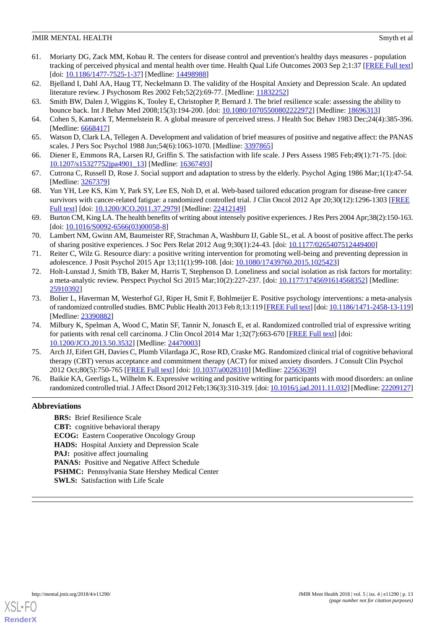- <span id="page-12-0"></span>61. Moriarty DG, Zack MM, Kobau R. The centers for disease control and prevention's healthy days measures - population tracking of perceived physical and mental health over time. Health Qual Life Outcomes 2003 Sep 2;1:37 [\[FREE Full text](https://hqlo.biomedcentral.com/articles/10.1186/1477-7525-1-37)] [doi: [10.1186/1477-7525-1-37](http://dx.doi.org/10.1186/1477-7525-1-37)] [Medline: [14498988\]](http://www.ncbi.nlm.nih.gov/entrez/query.fcgi?cmd=Retrieve&db=PubMed&list_uids=14498988&dopt=Abstract)
- <span id="page-12-2"></span><span id="page-12-1"></span>62. Bjelland I, Dahl AA, Haug TT, Neckelmann D. The validity of the Hospital Anxiety and Depression Scale. An updated literature review. J Psychosom Res 2002 Feb; 52(2): 69-77. [Medline: [11832252](http://www.ncbi.nlm.nih.gov/entrez/query.fcgi?cmd=Retrieve&db=PubMed&list_uids=11832252&dopt=Abstract)]
- <span id="page-12-3"></span>63. Smith BW, Dalen J, Wiggins K, Tooley E, Christopher P, Bernard J. The brief resilience scale: assessing the ability to bounce back. Int J Behav Med 2008;15(3):194-200. [doi: [10.1080/10705500802222972\]](http://dx.doi.org/10.1080/10705500802222972) [Medline: [18696313\]](http://www.ncbi.nlm.nih.gov/entrez/query.fcgi?cmd=Retrieve&db=PubMed&list_uids=18696313&dopt=Abstract)
- <span id="page-12-4"></span>64. Cohen S, Kamarck T, Mermelstein R. A global measure of perceived stress. J Health Soc Behav 1983 Dec;24(4):385-396. [Medline: [6668417\]](http://www.ncbi.nlm.nih.gov/entrez/query.fcgi?cmd=Retrieve&db=PubMed&list_uids=6668417&dopt=Abstract)
- <span id="page-12-5"></span>65. Watson D, Clark LA, Tellegen A. Development and validation of brief measures of positive and negative affect: the PANAS scales. J Pers Soc Psychol 1988 Jun; 54(6): 1063-1070. [Medline: [3397865](http://www.ncbi.nlm.nih.gov/entrez/query.fcgi?cmd=Retrieve&db=PubMed&list_uids=3397865&dopt=Abstract)]
- <span id="page-12-6"></span>66. Diener E, Emmons RA, Larsen RJ, Griffin S. The satisfaction with life scale. J Pers Assess 1985 Feb;49(1):71-75. [doi: [10.1207/s15327752jpa4901\\_13\]](http://dx.doi.org/10.1207/s15327752jpa4901_13) [Medline: [16367493\]](http://www.ncbi.nlm.nih.gov/entrez/query.fcgi?cmd=Retrieve&db=PubMed&list_uids=16367493&dopt=Abstract)
- <span id="page-12-7"></span>67. Cutrona C, Russell D, Rose J. Social support and adaptation to stress by the elderly. Psychol Aging 1986 Mar;1(1):47-54. [Medline: [3267379\]](http://www.ncbi.nlm.nih.gov/entrez/query.fcgi?cmd=Retrieve&db=PubMed&list_uids=3267379&dopt=Abstract)
- <span id="page-12-8"></span>68. Yun YH, Lee KS, Kim Y, Park SY, Lee ES, Noh D, et al. Web-based tailored education program for disease-free cancer survivors with cancer-related fatigue: a randomized controlled trial. J Clin Oncol 2012 Apr 20;30(12):1296-1303 [[FREE](http://jco.ascopubs.org/cgi/pmidlookup?view=long&pmid=22412149) [Full text\]](http://jco.ascopubs.org/cgi/pmidlookup?view=long&pmid=22412149) [doi: [10.1200/JCO.2011.37.2979\]](http://dx.doi.org/10.1200/JCO.2011.37.2979) [Medline: [22412149\]](http://www.ncbi.nlm.nih.gov/entrez/query.fcgi?cmd=Retrieve&db=PubMed&list_uids=22412149&dopt=Abstract)
- <span id="page-12-9"></span>69. Burton CM, King LA. The health benefits of writing about intensely positive experiences. J Res Pers 2004 Apr;38(2):150-163. [doi: [10.1016/S0092-6566\(03\)00058-8](http://dx.doi.org/10.1016/S0092-6566(03)00058-8)]
- <span id="page-12-10"></span>70. Lambert NM, Gwinn AM, Baumeister RF, Strachman A, Washburn IJ, Gable SL, et al. A boost of positive affect.The perks of sharing positive experiences. J Soc Pers Relat 2012 Aug 9;30(1):24-43. [doi: [10.1177/0265407512449400\]](http://dx.doi.org/10.1177/0265407512449400)
- <span id="page-12-11"></span>71. Reiter C, Wilz G. Resource diary: a positive writing intervention for promoting well-being and preventing depression in adolescence. J Posit Psychol 2015 Apr 13;11(1):99-108. [doi: [10.1080/17439760.2015.1025423\]](http://dx.doi.org/10.1080/17439760.2015.1025423)
- <span id="page-12-12"></span>72. Holt-Lunstad J, Smith TB, Baker M, Harris T, Stephenson D. Loneliness and social isolation as risk factors for mortality: a meta-analytic review. Perspect Psychol Sci 2015 Mar;10(2):227-237. [doi: [10.1177/1745691614568352\]](http://dx.doi.org/10.1177/1745691614568352) [Medline: [25910392](http://www.ncbi.nlm.nih.gov/entrez/query.fcgi?cmd=Retrieve&db=PubMed&list_uids=25910392&dopt=Abstract)]
- <span id="page-12-13"></span>73. Bolier L, Haverman M, Westerhof GJ, Riper H, Smit F, Bohlmeijer E. Positive psychology interventions: a meta-analysis of randomized controlled studies. BMC Public Health 2013 Feb 8;13:119 [[FREE Full text](https://bmcpublichealth.biomedcentral.com/articles/10.1186/1471-2458-13-119)] [doi: [10.1186/1471-2458-13-119\]](http://dx.doi.org/10.1186/1471-2458-13-119) [Medline: [23390882](http://www.ncbi.nlm.nih.gov/entrez/query.fcgi?cmd=Retrieve&db=PubMed&list_uids=23390882&dopt=Abstract)]
- <span id="page-12-14"></span>74. Milbury K, Spelman A, Wood C, Matin SF, Tannir N, Jonasch E, et al. Randomized controlled trial of expressive writing for patients with renal cell carcinoma. J Clin Oncol 2014 Mar 1;32(7):663-670 [[FREE Full text](http://europepmc.org/abstract/MED/24470003)] [doi: [10.1200/JCO.2013.50.3532](http://dx.doi.org/10.1200/JCO.2013.50.3532)] [Medline: [24470003\]](http://www.ncbi.nlm.nih.gov/entrez/query.fcgi?cmd=Retrieve&db=PubMed&list_uids=24470003&dopt=Abstract)
- <span id="page-12-15"></span>75. Arch JJ, Eifert GH, Davies C, Plumb Vilardaga JC, Rose RD, Craske MG. Randomized clinical trial of cognitive behavioral therapy (CBT) versus acceptance and commitment therapy (ACT) for mixed anxiety disorders. J Consult Clin Psychol 2012 Oct;80(5):750-765 [[FREE Full text](http://europepmc.org/abstract/MED/22563639)] [doi: [10.1037/a0028310](http://dx.doi.org/10.1037/a0028310)] [Medline: [22563639\]](http://www.ncbi.nlm.nih.gov/entrez/query.fcgi?cmd=Retrieve&db=PubMed&list_uids=22563639&dopt=Abstract)
- 76. Baikie KA, Geerligs L, Wilhelm K. Expressive writing and positive writing for participants with mood disorders: an online randomized controlled trial. J Affect Disord 2012 Feb;136(3):310-319. [doi: [10.1016/j.jad.2011.11.032\]](http://dx.doi.org/10.1016/j.jad.2011.11.032) [Medline: [22209127\]](http://www.ncbi.nlm.nih.gov/entrez/query.fcgi?cmd=Retrieve&db=PubMed&list_uids=22209127&dopt=Abstract)

# **Abbreviations**

**BRS:** Brief Resilience Scale **CBT:** cognitive behavioral therapy **ECOG:** Eastern Cooperative Oncology Group **HADS:** Hospital Anxiety and Depression Scale **PAJ:** positive affect journaling **PANAS:** Positive and Negative Affect Schedule PSHMC: Pennsylvania State Hershey Medical Center **SWLS:** Satisfaction with Life Scale